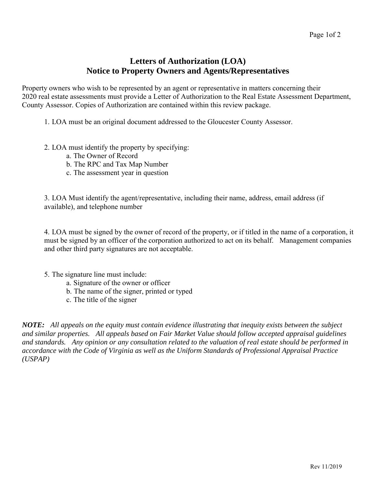## **Letters of Authorization (LOA) Notice to Property Owners and Agents/Representatives**

Property owners who wish to be represented by an agent or representative in matters concerning their 2020 real estate assessments must provide a Letter of Authorization to the Real Estate Assessment Department, County Assessor. Copies of Authorization are contained within this review package.

- 1. LOA must be an original document addressed to the Gloucester County Assessor.
- 2. LOA must identify the property by specifying:
	- a. The Owner of Record
	- b. The RPC and Tax Map Number
	- c. The assessment year in question

3. LOA Must identify the agent/representative, including their name, address, email address (if available), and telephone number

4. LOA must be signed by the owner of record of the property, or if titled in the name of a corporation, it must be signed by an officer of the corporation authorized to act on its behalf. Management companies and other third party signatures are not acceptable.

- 5. The signature line must include:
	- a. Signature of the owner or officer
	- b. The name of the signer, printed or typed
	- c. The title of the signer

*NOTE: All appeals on the equity must contain evidence illustrating that inequity exists between the subject and similar properties. All appeals based on Fair Market Value should follow accepted appraisal guidelines and standards. Any opinion or any consultation related to the valuation of real estate should be performed in accordance with the Code of Virginia as well as the Uniform Standards of Professional Appraisal Practice (USPAP)*